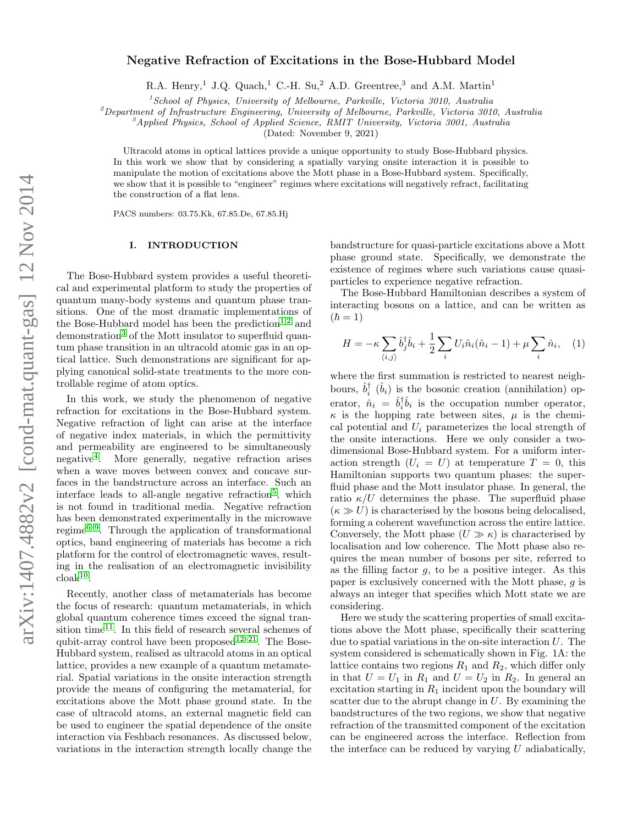# Negative Refraction of Excitations in the Bose-Hubbard Model

R.A. Henry,<sup>1</sup> J.Q. Quach,<sup>1</sup> C.-H. Su,<sup>2</sup> A.D. Greentree,<sup>3</sup> and A.M. Martin<sup>1</sup>

 $1$ School of Physics, University of Melbourne, Parkville, Victoria 3010, Australia

 $^{2}$ Department of Infrastructure Engineering, University of Melbourne, Parkville, Victoria 3010, Australia

 ${}^3$ Applied Physics, School of Applied Science, RMIT University, Victoria 3001, Australia

(Dated: November 9, 2021)

Ultracold atoms in optical lattices provide a unique opportunity to study Bose-Hubbard physics. In this work we show that by considering a spatially varying onsite interaction it is possible to manipulate the motion of excitations above the Mott phase in a Bose-Hubbard system. Specifically, we show that it is possible to "engineer" regimes where excitations will negatively refract, facilitating the construction of a flat lens.

PACS numbers: 03.75.Kk, 67.85.De, 67.85.Hj

# I. INTRODUCTION

The Bose-Hubbard system provides a useful theoretical and experimental platform to study the properties of quantum many-body systems and quantum phase transitions. One of the most dramatic implementations of the Bose-Hubbard model has been the prediction<sup>[1](#page-5-0)[,2](#page-5-1)</sup> and demonstration<sup>[3](#page-5-2)</sup> of the Mott insulator to superfluid quantum phase transition in an ultracold atomic gas in an optical lattice. Such demonstrations are significant for applying canonical solid-state treatments to the more controllable regime of atom optics.

In this work, we study the phenomenon of negative refraction for excitations in the Bose-Hubbard system. Negative refraction of light can arise at the interface of negative index materials, in which the permittivity and permeability are engineered to be simultaneously negative[4](#page-5-3) . More generally, negative refraction arises when a wave moves between convex and concave surfaces in the bandstructure across an interface. Such an interface leads to all-angle negative refraction<sup>[5](#page-5-4)</sup>, which is not found in traditional media. Negative refraction has been demonstrated experimentally in the microwave regime<sup>[6–](#page-5-5)[9](#page-5-6)</sup>. Through the application of transformational optics, band engineering of materials has become a rich platform for the control of electromagnetic waves, resulting in the realisation of an electromagnetic invisibility  $\mathrm{cloak}^{10}$  $\mathrm{cloak}^{10}$  $\mathrm{cloak}^{10}$ .

Recently, another class of metamaterials has become the focus of research: quantum metamaterials, in which global quantum coherence times exceed the signal tran-sition time<sup>[11](#page-5-8)</sup>. In this field of research several schemes of qubit-array control have been proposed<sup>[12](#page-5-9)[–21](#page-5-10)</sup>. The Bose-Hubbard system, realised as ultracold atoms in an optical lattice, provides a new example of a quantum metamaterial. Spatial variations in the onsite interaction strength provide the means of configuring the metamaterial, for excitations above the Mott phase ground state. In the case of ultracold atoms, an external magnetic field can be used to engineer the spatial dependence of the onsite interaction via Feshbach resonances. As discussed below, variations in the interaction strength locally change the

bandstructure for quasi-particle excitations above a Mott phase ground state. Specifically, we demonstrate the existence of regimes where such variations cause quasiparticles to experience negative refraction.

The Bose-Hubbard Hamiltonian describes a system of interacting bosons on a lattice, and can be written as  $(\hbar = 1)$ 

$$
H = -\kappa \sum_{\langle i,j \rangle} \hat{b}_j^{\dagger} \hat{b}_i + \frac{1}{2} \sum_i U_i \hat{n}_i (\hat{n}_i - 1) + \mu \sum_i \hat{n}_i, \quad (1)
$$

where the first summation is restricted to nearest neighbours,  $\hat{b}_i^{\dagger}$  ( $\hat{b}_i$ ) is the bosonic creation (annihilation) operator,  $\hat{n}_i = \hat{b}_i^{\dagger} \hat{b}_i$  is the occupation number operator,  $\kappa$  is the hopping rate between sites,  $\mu$  is the chemical potential and  $U_i$  parameterizes the local strength of the onsite interactions. Here we only consider a twodimensional Bose-Hubbard system. For a uniform interaction strength  $(U_i = U)$  at temperature  $T = 0$ , this Hamiltonian supports two quantum phases: the superfluid phase and the Mott insulator phase. In general, the ratio  $\kappa/U$  determines the phase. The superfluid phase  $(\kappa \gg U)$  is characterised by the bosons being delocalised, forming a coherent wavefunction across the entire lattice. Conversely, the Mott phase  $(U \gg \kappa)$  is characterised by localisation and low coherence. The Mott phase also requires the mean number of bosons per site, referred to as the filling factor  $q$ , to be a positive integer. As this paper is exclusively concerned with the Mott phase, g is always an integer that specifies which Mott state we are considering.

Here we study the scattering properties of small excitations above the Mott phase, specifically their scattering due to spatial variations in the on-site interaction  $U$ . The system considered is schematically shown in Fig. 1A: the lattice contains two regions  $R_1$  and  $R_2$ , which differ only in that  $U = U_1$  in  $R_1$  and  $U = U_2$  in  $R_2$ . In general an excitation starting in  $R_1$  incident upon the boundary will scatter due to the abrupt change in  $U$ . By examining the bandstructures of the two regions, we show that negative refraction of the transmitted component of the excitation can be engineered across the interface. Reflection from the interface can be reduced by varying  $U$  adiabatically,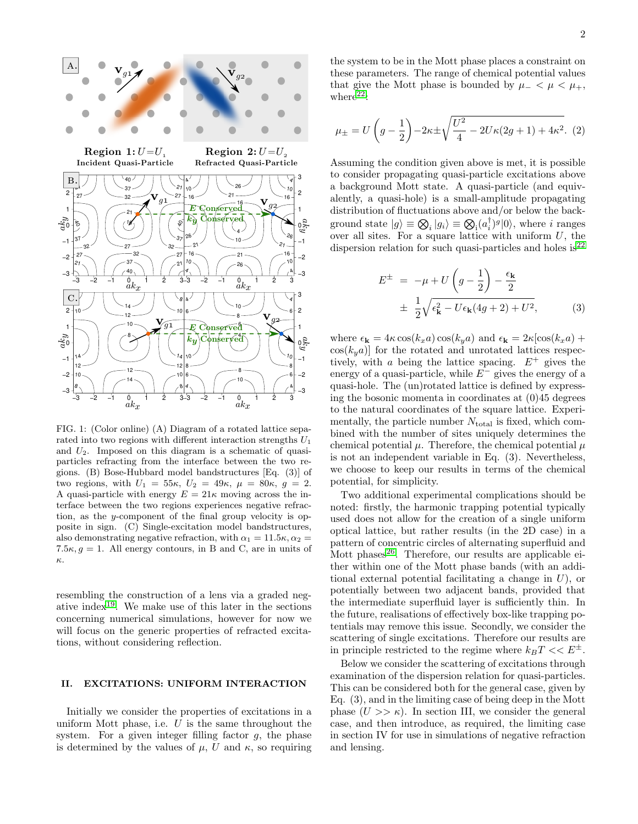

FIG. 1: (Color online) (A) Diagram of a rotated lattice separated into two regions with different interaction strengths  $U_1$ and  $U_2$ . Imposed on this diagram is a schematic of quasiparticles refracting from the interface between the two regions. (B) Bose-Hubbard model bandstructures [Eq. (3)] of two regions, with  $U_1 = 55\kappa$ ,  $U_2 = 49\kappa$ ,  $\mu = 80\kappa$ ,  $g = 2$ . A quasi-particle with energy  $E = 21\kappa$  moving across the interface between the two regions experiences negative refraction, as the y-component of the final group velocity is opposite in sign. (C) Single-excitation model bandstructures, also demonstrating negative refraction, with  $\alpha_1 = 11.5\kappa$ ,  $\alpha_2 =$ 7.5 $\kappa$ ,  $g = 1$ . All energy contours, in B and C, are in units of κ.

resembling the construction of a lens via a graded neg-ative index<sup>[19](#page-5-11)</sup>. We make use of this later in the sections concerning numerical simulations, however for now we will focus on the generic properties of refracted excitations, without considering reflection.

### II. EXCITATIONS: UNIFORM INTERACTION

Initially we consider the properties of excitations in a uniform Mott phase, i.e.  $U$  is the same throughout the system. For a given integer filling factor  $q$ , the phase is determined by the values of  $\mu$ , U and  $\kappa$ , so requiring

the system to be in the Mott phase places a constraint on these parameters. The range of chemical potential values that give the Mott phase is bounded by  $\mu_- < \mu < \mu_+$ , where $22$ :

$$
\mu_{\pm} = U\left(g - \frac{1}{2}\right) - 2\kappa \pm \sqrt{\frac{U^2}{4} - 2U\kappa(2g + 1) + 4\kappa^2}.
$$
 (2)

Assuming the condition given above is met, it is possible to consider propagating quasi-particle excitations above a background Mott state. A quasi-particle (and equivalently, a quasi-hole) is a small-amplitude propagating distribution of fluctuations above and/or below the background state  $|g\rangle \equiv \bigotimes_i |g_i\rangle \equiv \bigotimes_i (a_i^{\dagger})^g |0\rangle$ , where *i* ranges over all sites. For a square lattice with uniform  $U$ , the dispersion relation for such quasi-particles and holes is  $2^2$ 

$$
E^{\pm} = -\mu + U\left(g - \frac{1}{2}\right) - \frac{\epsilon_{\mathbf{k}}}{2}
$$

$$
\pm \frac{1}{2}\sqrt{\epsilon_{\mathbf{k}}^2 - U\epsilon_{\mathbf{k}}(4g + 2) + U^2}, \tag{3}
$$

where  $\epsilon_{\mathbf{k}} = 4\kappa \cos(k_x a) \cos(k_y a)$  and  $\epsilon_{\mathbf{k}} = 2\kappa [\cos(k_x a) +$  $\cos(k_y a)$  for the rotated and unrotated lattices respectively, with a being the lattice spacing.  $E^+$  gives the energy of a quasi-particle, while  $E^-$  gives the energy of a quasi-hole. The (un)rotated lattice is defined by expressing the bosonic momenta in coordinates at (0)45 degrees to the natural coordinates of the square lattice. Experimentally, the particle number  $N_{total}$  is fixed, which combined with the number of sites uniquely determines the chemical potential  $\mu$ . Therefore, the chemical potential  $\mu$ is not an independent variable in Eq. (3). Nevertheless, we choose to keep our results in terms of the chemical potential, for simplicity.

Two additional experimental complications should be noted: firstly, the harmonic trapping potential typically used does not allow for the creation of a single uniform optical lattice, but rather results (in the 2D case) in a pattern of concentric circles of alternating superfluid and Mott phases $^{26}$  $^{26}$  $^{26}$ . Therefore, our results are applicable either within one of the Mott phase bands (with an additional external potential facilitating a change in  $U$ ), or potentially between two adjacent bands, provided that the intermediate superfluid layer is sufficiently thin. In the future, realisations of effectively box-like trapping potentials may remove this issue. Secondly, we consider the scattering of single excitations. Therefore our results are in principle restricted to the regime where  $k_BT << E^{\pm}$ .

Below we consider the scattering of excitations through examination of the dispersion relation for quasi-particles. This can be considered both for the general case, given by Eq. (3), and in the limiting case of being deep in the Mott phase  $(U \gg \kappa)$ . In section III, we consider the general case, and then introduce, as required, the limiting case in section IV for use in simulations of negative refraction and lensing.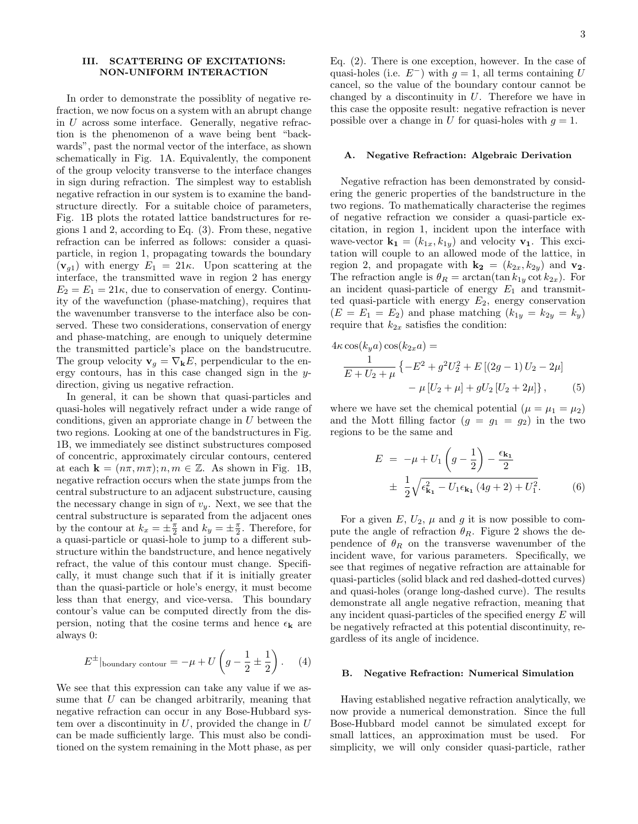## III. SCATTERING OF EXCITATIONS: NON-UNIFORM INTERACTION

In order to demonstrate the possiblity of negative refraction, we now focus on a system with an abrupt change in U across some interface. Generally, negative refraction is the phenomenon of a wave being bent "backwards", past the normal vector of the interface, as shown schematically in Fig. 1A. Equivalently, the component of the group velocity transverse to the interface changes in sign during refraction. The simplest way to establish negative refraction in our system is to examine the bandstructure directly. For a suitable choice of parameters, Fig. 1B plots the rotated lattice bandstructures for regions 1 and 2, according to Eq. (3). From these, negative refraction can be inferred as follows: consider a quasiparticle, in region 1, propagating towards the boundary  $(\mathbf{v}_{q1})$  with energy  $E_1 = 21\kappa$ . Upon scattering at the interface, the transmitted wave in region 2 has energy  $E_2 = E_1 = 21\kappa$ , due to conservation of energy. Continuity of the wavefunction (phase-matching), requires that the wavenumber transverse to the interface also be conserved. These two considerations, conservation of energy and phase-matching, are enough to uniquely determine the transmitted particle's place on the bandstrucutre. The group velocity  $\mathbf{v}_q = \nabla_{\mathbf{k}} E$ , perpendicular to the energy contours, has in this case changed sign in the ydirection, giving us negative refraction.

In general, it can be shown that quasi-particles and quasi-holes will negatively refract under a wide range of conditions, given an approriate change in  $U$  between the two regions. Looking at one of the bandstructures in Fig. 1B, we immediately see distinct substructures composed of concentric, approximately circular contours, centered at each  $\mathbf{k} = (n\pi, m\pi); n, m \in \mathbb{Z}$ . As shown in Fig. 1B, negative refraction occurs when the state jumps from the central substructure to an adjacent substructure, causing the necessary change in sign of  $v_y$ . Next, we see that the central substructure is separated from the adjacent ones by the contour at  $k_x = \pm \frac{\pi}{2}$  and  $k_y = \pm \frac{\pi}{2}$ . Therefore, for a quasi-particle or quasi-hole to jump to a different substructure within the bandstructure, and hence negatively refract, the value of this contour must change. Specifically, it must change such that if it is initially greater than the quasi-particle or hole's energy, it must become less than that energy, and vice-versa. This boundary contour's value can be computed directly from the dispersion, noting that the cosine terms and hence  $\epsilon_{\mathbf{k}}$  are always 0:

$$
E^{\pm}|_{\text{boundary contour}} = -\mu + U\left(g - \frac{1}{2} \pm \frac{1}{2}\right). \quad (4)
$$

We see that this expression can take any value if we assume that U can be changed arbitrarily, meaning that negative refraction can occur in any Bose-Hubbard system over a discontinuity in  $U$ , provided the change in  $U$ can be made sufficiently large. This must also be conditioned on the system remaining in the Mott phase, as per

Eq. (2). There is one exception, however. In the case of quasi-holes (i.e.  $E^-$ ) with  $g = 1$ , all terms containing U cancel, so the value of the boundary contour cannot be changed by a discontinuity in  $U$ . Therefore we have in this case the opposite result: negative refraction is never possible over a change in U for quasi-holes with  $g = 1$ .

#### A. Negative Refraction: Algebraic Derivation

Negative refraction has been demonstrated by considering the generic properties of the bandstructure in the two regions. To mathematically characterise the regimes of negative refraction we consider a quasi-particle excitation, in region 1, incident upon the interface with wave-vector  $\mathbf{k_1} = (k_{1x}, k_{1y})$  and velocity  $\mathbf{v_1}$ . This excitation will couple to an allowed mode of the lattice, in region 2, and propagate with  $\mathbf{k_2} = (k_{2x}, k_{2y})$  and  $\mathbf{v_2}$ . The refraction angle is  $\theta_R = \arctan(\tan k_{1y} \cot k_{2x})$ . For an incident quasi-particle of energy  $E_1$  and transmitted quasi-particle with energy  $E_2$ , energy conservation  $(E = E_1 = E_2)$  and phase matching  $(k_{1y} = k_{2y} = k_y)$ require that  $k_{2x}$  satisfies the condition:

$$
4\kappa \cos(k_y a) \cos(k_{2x} a) =
$$
  
\n
$$
\frac{1}{E + U_2 + \mu} \{-E^2 + g^2 U_2^2 + E [(2g - 1) U_2 - 2\mu]
$$
  
\n
$$
- \mu [U_2 + \mu] + gU_2 [U_2 + 2\mu] \},
$$
\n(5)

where we have set the chemical potential  $(\mu = \mu_1 = \mu_2)$ and the Mott filling factor  $(g = g_1 = g_2)$  in the two regions to be the same and

$$
E = -\mu + U_1 \left( g - \frac{1}{2} \right) - \frac{\epsilon_{\mathbf{k_1}}}{2}
$$
  
 
$$
\pm \frac{1}{2} \sqrt{\epsilon_{\mathbf{k_1}}^2 - U_1 \epsilon_{\mathbf{k_1}} \left( 4g + 2 \right) + U_1^2}.
$$
 (6)

For a given E,  $U_2$ ,  $\mu$  and g it is now possible to compute the angle of refraction  $\theta_R$ . Figure 2 shows the dependence of  $\theta_R$  on the transverse wavenumber of the incident wave, for various parameters. Specifically, we see that regimes of negative refraction are attainable for quasi-particles (solid black and red dashed-dotted curves) and quasi-holes (orange long-dashed curve). The results demonstrate all angle negative refraction, meaning that any incident quasi-particles of the specified energy  $E$  will be negatively refracted at this potential discontinuity, regardless of its angle of incidence.

### B. Negative Refraction: Numerical Simulation

Having established negative refraction analytically, we now provide a numerical demonstration. Since the full Bose-Hubbard model cannot be simulated except for small lattices, an approximation must be used. For simplicity, we will only consider quasi-particle, rather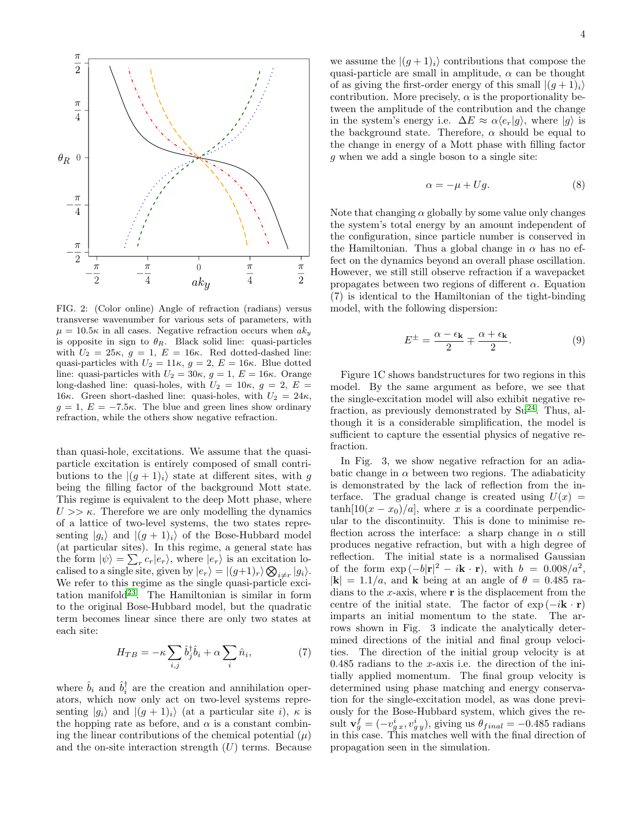

FIG. 2: (Color online) Angle of refraction (radians) versus transverse wavenumber for various sets of parameters, with  $\mu = 10.5\kappa$  in all cases. Negative refraction occurs when  $ak_y$ is opposite in sign to  $\theta_R$ . Black solid line: quasi-particles with  $U_2 = 25\kappa$ ,  $g = 1$ ,  $E = 16\kappa$ . Red dotted-dashed line: quasi-particles with  $U_2 = 11\kappa$ ,  $g = 2$ ,  $E = 16\kappa$ . Blue dotted line: quasi-particles with  $U_2 = 30\kappa$ ,  $g = 1$ ,  $E = 16\kappa$ . Orange long-dashed line: quasi-holes, with  $U_2 = 10\kappa$ ,  $g = 2$ ,  $E =$ 16κ. Green short-dashed line: quasi-holes, with  $U_2 = 24\kappa$ ,  $g = 1, E = -7.5\kappa$ . The blue and green lines show ordinary refraction, while the others show negative refraction.

than quasi-hole, excitations. We assume that the quasiparticle excitation is entirely composed of small contributions to the  $|(g + 1)_i\rangle$  state at different sites, with g being the filling factor of the background Mott state. This regime is equivalent to the deep Mott phase, where  $U >> \kappa$ . Therefore we are only modelling the dynamics of a lattice of two-level systems, the two states representing  $|g_i\rangle$  and  $|(g + 1)_i\rangle$  of the Bose-Hubbard model (at particular sites). In this regime, a general state has the form  $|\psi\rangle = \sum_r c_r |e_r\rangle$ , where  $|e_r\rangle$  is an excitation localised to a single site, given by  $|e_r\rangle = |(g+1)_r\rangle \bigotimes_{i \neq r} |g_i\rangle$ . We refer to this regime as the single quasi-particle exci-tation manifold<sup>[23](#page-5-14)</sup>. The Hamiltonian is similar in form to the original Bose-Hubbard model, but the quadratic term becomes linear since there are only two states at each site:

$$
H_{TB} = -\kappa \sum_{i,j} \hat{b}_j^{\dagger} \hat{b}_i + \alpha \sum_i \hat{n}_i, \tag{7}
$$

where  $\hat{b}_i$  and  $\hat{b}_i^{\dagger}$  are the creation and annihilation operators, which now only act on two-level systems representing  $|g_i\rangle$  and  $|(g+1)_i\rangle$  (at a particular site i),  $\kappa$  is the hopping rate as before, and  $\alpha$  is a constant combining the linear contributions of the chemical potential  $(\mu)$ and the on-site interaction strength  $(U)$  terms. Because

we assume the  $|(g+1)_i\rangle$  contributions that compose the quasi-particle are small in amplitude,  $\alpha$  can be thought of as giving the first-order energy of this small  $|(q+1)_i\rangle$ contribution. More precisely,  $\alpha$  is the proportionality between the amplitude of the contribution and the change in the system's energy i.e.  $\Delta E \approx \alpha \langle e_r | g \rangle$ , where  $|g \rangle$  is the background state. Therefore,  $\alpha$  should be equal to the change in energy of a Mott phase with filling factor g when we add a single boson to a single site:

$$
\alpha = -\mu + Ug. \tag{8}
$$

Note that changing  $\alpha$  globally by some value only changes the system's total energy by an amount independent of the configuration, since particle number is conserved in the Hamiltonian. Thus a global change in  $\alpha$  has no effect on the dynamics beyond an overall phase oscillation. However, we still still observe refraction if a wavepacket propagates between two regions of different  $\alpha$ . Equation (7) is identical to the Hamiltonian of the tight-binding model, with the following dispersion:

$$
E^{\pm} = \frac{\alpha - \epsilon_{\mathbf{k}}}{2} \mp \frac{\alpha + \epsilon_{\mathbf{k}}}{2}.
$$
 (9)

Figure 1C shows bandstructures for two regions in this model. By the same argument as before, we see that the single-excitation model will also exhibit negative refraction, as previously demonstrated by  $Su^{24}$  $Su^{24}$  $Su^{24}$ . Thus, although it is a considerable simplification, the model is sufficient to capture the essential physics of negative refraction.

In Fig. 3, we show negative refraction for an adiabatic change in  $\alpha$  between two regions. The adiabaticity is demonstrated by the lack of reflection from the interface. The gradual change is created using  $U(x) =$  $\tanh[10(x-x_0)/a]$ , where x is a coordinate perpendicular to the discontinuity. This is done to minimise reflection across the interface: a sharp change in  $\alpha$  still produces negative refraction, but with a high degree of reflection. The initial state is a normalised Gaussian of the form  $\exp(-b|\mathbf{r}|^2 - i\mathbf{k} \cdot \mathbf{r})$ , with  $b = 0.008/a^2$ ,  $|{\bf k}| = 1.1/a$ , and **k** being at an angle of  $\theta = 0.485$  radians to the x-axis, where  $\bf{r}$  is the displacement from the centre of the initial state. The factor of  $\exp(-i\mathbf{k}\cdot\mathbf{r})$ imparts an initial momentum to the state. The arrows shown in Fig. 3 indicate the analytically determined directions of the initial and final group velocities. The direction of the initial group velocity is at  $0.485$  radians to the x-axis i.e. the direction of the initially applied momentum. The final group velocity is determined using phase matching and energy conservation for the single-excitation model, as was done previously for the Bose-Hubbard system, which gives the result  $\mathbf{v}_g^f = (-v_{g,x}^i, v_{g,y}^i)$ , giving us  $\theta_{final} = -0.485$  radians in this case. This matches well with the final direction of propagation seen in the simulation.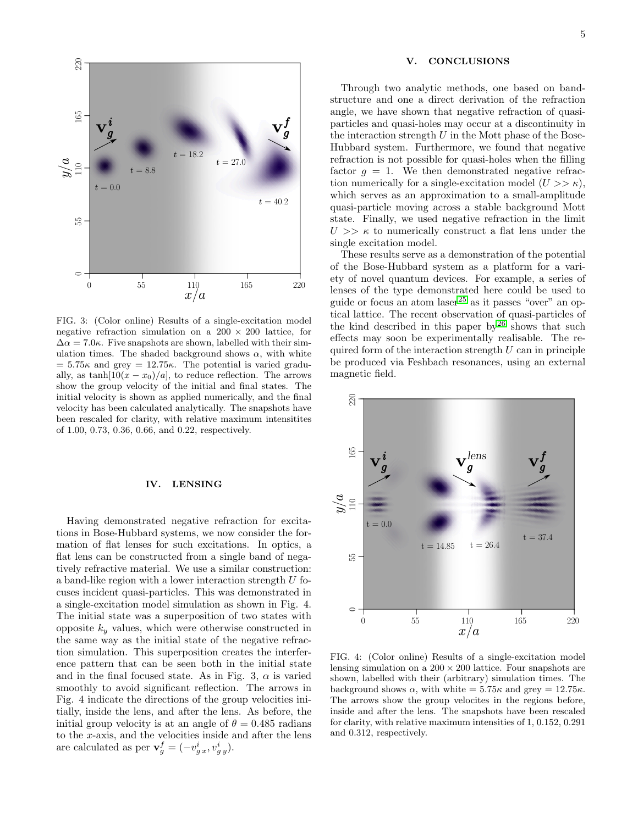

FIG. 3: (Color online) Results of a single-excitation model negative refraction simulation on a  $200 \times 200$  lattice, for  $\Delta \alpha = 7.0\kappa$ . Five snapshots are shown, labelled with their simulation times. The shaded background shows  $\alpha$ , with white  $= 5.75\kappa$  and grey  $= 12.75\kappa$ . The potential is varied gradually, as  $\tanh[10(x-x_0)/a]$ , to reduce reflection. The arrows show the group velocity of the initial and final states. The initial velocity is shown as applied numerically, and the final velocity has been calculated analytically. The snapshots have been rescaled for clarity, with relative maximum intensitites of 1.00, 0.73, 0.36, 0.66, and 0.22, respectively.

## IV. LENSING

Having demonstrated negative refraction for excitations in Bose-Hubbard systems, we now consider the formation of flat lenses for such excitations. In optics, a flat lens can be constructed from a single band of negatively refractive material. We use a similar construction: a band-like region with a lower interaction strength U focuses incident quasi-particles. This was demonstrated in a single-excitation model simulation as shown in Fig. 4. The initial state was a superposition of two states with opposite  $k_y$  values, which were otherwise constructed in the same way as the initial state of the negative refraction simulation. This superposition creates the interference pattern that can be seen both in the initial state and in the final focused state. As in Fig. 3,  $\alpha$  is varied smoothly to avoid significant reflection. The arrows in Fig. 4 indicate the directions of the group velocities initially, inside the lens, and after the lens. As before, the initial group velocity is at an angle of  $\theta = 0.485$  radians to the x-axis, and the velocities inside and after the lens are calculated as per  $\mathbf{v}_g^f = (-v_{gx}^i, v_{gy}^i)$ .

## V. CONCLUSIONS

Through two analytic methods, one based on bandstructure and one a direct derivation of the refraction angle, we have shown that negative refraction of quasiparticles and quasi-holes may occur at a discontinuity in the interaction strength  $U$  in the Mott phase of the Bose-Hubbard system. Furthermore, we found that negative refraction is not possible for quasi-holes when the filling factor  $g = 1$ . We then demonstrated negative refraction numerically for a single-excitation model  $(U >> \kappa)$ , which serves as an approximation to a small-amplitude quasi-particle moving across a stable background Mott state. Finally, we used negative refraction in the limit  $U \gg \kappa$  to numerically construct a flat lens under the single excitation model.

These results serve as a demonstration of the potential of the Bose-Hubbard system as a platform for a variety of novel quantum devices. For example, a series of lenses of the type demonstrated here could be used to guide or focus an atom $\rm laser^{25}$  $\rm laser^{25}$  $\rm laser^{25}$  as it passes "over" an optical lattice. The recent observation of quasi-particles of the kind described in this paper by<sup>[26](#page-5-13)</sup> shows that such effects may soon be experimentally realisable. The required form of the interaction strength  $U$  can in principle be produced via Feshbach resonances, using an external magnetic field.



FIG. 4: (Color online) Results of a single-excitation model lensing simulation on a  $200 \times 200$  lattice. Four snapshots are shown, labelled with their (arbitrary) simulation times. The background shows  $\alpha$ , with white = 5.75 $\kappa$  and grey = 12.75 $\kappa$ . The arrows show the group velocites in the regions before, inside and after the lens. The snapshots have been rescaled for clarity, with relative maximum intensities of 1, 0.152, 0.291 and 0.312, respectively.